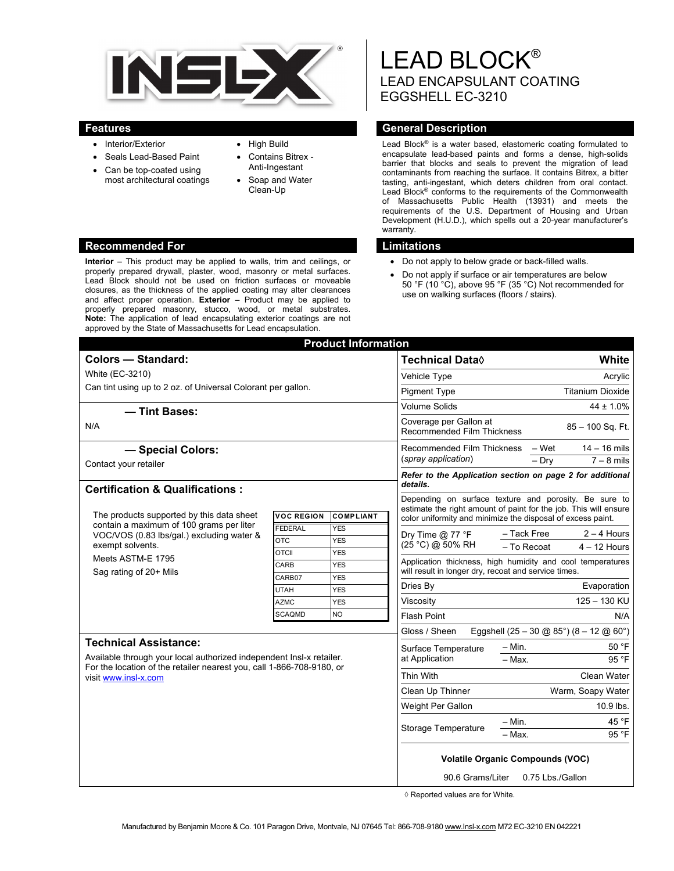

- Interior/Exterior
- Seals Lead-Based Paint
- Can be top-coated using most architectural coatings
- High Build Contains Bitrex -
- Anti-Ingestant
- Soap and Water Clean-Up

#### **Recommended For Limitations 2018**

**Interior** – This product may be applied to walls, trim and ceilings, or properly prepared drywall, plaster, wood, masonry or metal surfaces. Lead Block should not be used on friction surfaces or moveable closures, as the thickness of the applied coating may alter clearances and affect proper operation. **Exterior** – Product may be applied to properly prepared masonry, stucco, wood, or metal substrates. **Note:** The application of lead encapsulating exterior coatings are not approved by the State of Massachusetts for Lead encapsulation.

# LEAD BLOCK® LEAD ENCAPSULANT COATING EGGSHELL EC-3210

#### **Features Features General Description**

Lead Block® is a water based, elastomeric coating formulated to encapsulate lead-based paints and forms a dense, high-solids barrier that blocks and seals to prevent the migration of lead contaminants from reaching the surface. It contains Bitrex, a bitter tasting, anti-ingestant, which deters children from oral contact. Lead Block® conforms to the requirements of the Commonwealth of Massachusetts Public Health (13931) and meets the requirements of the U.S. Department of Housing and Urban Development (H.U.D.), which spells out a 20-year manufacturer's warranty.

- Do not apply to below grade or back-filled walls.
- Do not apply if surface or air temperatures are below 50 °F (10 °C), above 95 °F (35 °C) Not recommended for use on walking surfaces (floors / stairs).

| <b>Product Information</b>                                                                                                                                                                            |                            |                          |                                                                                                                                |                               |
|-------------------------------------------------------------------------------------------------------------------------------------------------------------------------------------------------------|----------------------------|--------------------------|--------------------------------------------------------------------------------------------------------------------------------|-------------------------------|
| <b>Colors - Standard:</b>                                                                                                                                                                             |                            |                          | Technical Data◊                                                                                                                | White                         |
| White (EC-3210)                                                                                                                                                                                       |                            |                          | Vehicle Type                                                                                                                   | Acrylic                       |
| Can tint using up to 2 oz. of Universal Colorant per gallon.                                                                                                                                          |                            |                          | <b>Pigment Type</b>                                                                                                            | <b>Titanium Dioxide</b>       |
|                                                                                                                                                                                                       |                            |                          | Volume Solids                                                                                                                  | $44 \pm 1.0\%$                |
| - Tint Bases:<br>N/A                                                                                                                                                                                  |                            |                          | Coverage per Gallon at                                                                                                         |                               |
|                                                                                                                                                                                                       |                            |                          | 85 - 100 Sq. Ft.<br><b>Recommended Film Thickness</b>                                                                          |                               |
| - Special Colors:                                                                                                                                                                                     |                            |                          | $14 - 16$ mils<br><b>Recommended Film Thickness</b><br>– Wet                                                                   |                               |
| Contact your retailer                                                                                                                                                                                 |                            |                          | (spray application)<br>$-$ Dry                                                                                                 | $7 - 8$ mils                  |
|                                                                                                                                                                                                       |                            |                          | Refer to the Application section on page 2 for additional<br>details.<br>Depending on surface texture and porosity. Be sure to |                               |
| <b>Certification &amp; Qualifications:</b>                                                                                                                                                            |                            |                          |                                                                                                                                |                               |
|                                                                                                                                                                                                       |                            |                          | estimate the right amount of paint for the job. This will ensure                                                               |                               |
| The products supported by this data sheet<br>contain a maximum of 100 grams per liter<br>VOC/VOS (0.83 lbs/gal.) excluding water &<br>exempt solvents.<br>Meets ASTM-E 1795<br>Sag rating of 20+ Mils | <b>VOC REGION</b>          | <b>COMPLIANT</b>         | color uniformity and minimize the disposal of excess paint.                                                                    |                               |
|                                                                                                                                                                                                       | <b>FEDERAL</b>             | <b>YES</b>               | Dry Time $@$ 77 °F                                                                                                             | - Tack Free<br>$2 - 4$ Hours  |
|                                                                                                                                                                                                       | <b>OTC</b><br><b>OTCII</b> | <b>YES</b><br><b>YES</b> | (25 °C) @ 50% RH                                                                                                               | - To Recoat<br>$4 - 12$ Hours |
|                                                                                                                                                                                                       | CARB                       | <b>YES</b>               | Application thickness, high humidity and cool temperatures<br>will result in longer dry, recoat and service times.             |                               |
|                                                                                                                                                                                                       | CARB07                     | <b>YES</b>               |                                                                                                                                |                               |
|                                                                                                                                                                                                       | <b>UTAH</b>                | <b>YES</b>               | Dries By                                                                                                                       | Evaporation                   |
|                                                                                                                                                                                                       | <b>AZMC</b>                | <b>YES</b>               | Viscosity                                                                                                                      | 125 - 130 KU                  |
|                                                                                                                                                                                                       | <b>SCAQMD</b>              | <b>NO</b>                | <b>Flash Point</b>                                                                                                             | N/A                           |
|                                                                                                                                                                                                       |                            |                          | Gloss / Sheen<br>Eggshell $(25 - 30 \text{ @ } 85^{\circ}) (8 - 12 \text{ @ } 60^{\circ})$                                     |                               |
| <b>Technical Assistance:</b><br>Available through your local authorized independent Insl-x retailer.<br>For the location of the retailer nearest you, call 1-866-708-9180, or<br>visit www.insl-x.com |                            |                          | 50 °F<br>$-$ Min.<br>Surface Temperature                                                                                       |                               |
|                                                                                                                                                                                                       |                            |                          | at Application                                                                                                                 | - Max.<br>95 °F               |
|                                                                                                                                                                                                       |                            |                          | Thin With                                                                                                                      | <b>Clean Water</b>            |
|                                                                                                                                                                                                       |                            |                          | Clean Up Thinner                                                                                                               | Warm, Soapy Water             |
|                                                                                                                                                                                                       |                            |                          | Weight Per Gallon                                                                                                              | 10.9 lbs.                     |
|                                                                                                                                                                                                       |                            |                          | $-$ Min.<br><b>Storage Temperature</b><br>- Max.                                                                               | 45 °F                         |
|                                                                                                                                                                                                       |                            |                          |                                                                                                                                | 95 °F                         |
|                                                                                                                                                                                                       |                            |                          | <b>Volatile Organic Compounds (VOC)</b>                                                                                        |                               |
|                                                                                                                                                                                                       |                            |                          | 0.75 Lbs./Gallon<br>90.6 Grams/Liter                                                                                           |                               |

◊ Reported values are for White.